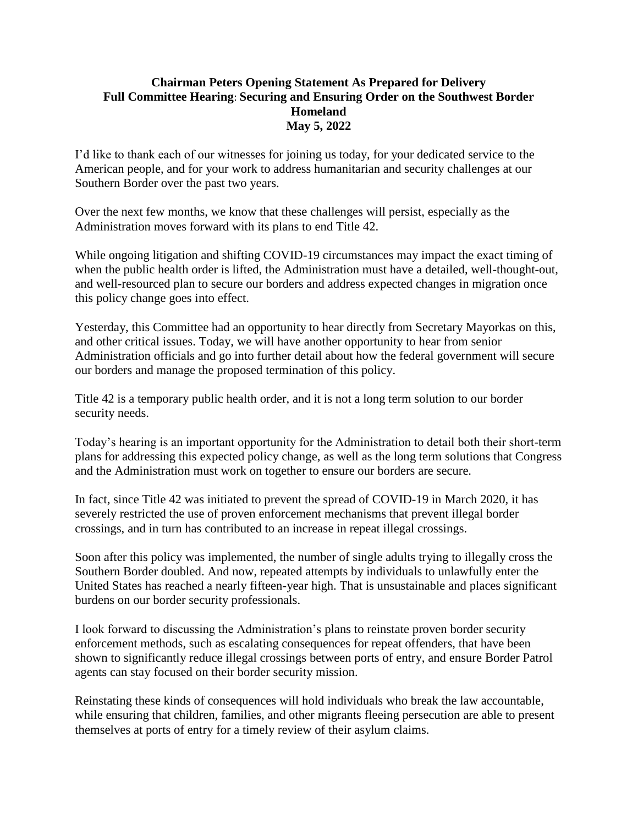## **Chairman Peters Opening Statement As Prepared for Delivery Full Committee Hearing**: **Securing and Ensuring Order on the Southwest Border Homeland May 5, 2022**

I'd like to thank each of our witnesses for joining us today, for your dedicated service to the American people, and for your work to address humanitarian and security challenges at our Southern Border over the past two years.

Over the next few months, we know that these challenges will persist, especially as the Administration moves forward with its plans to end Title 42.

While ongoing litigation and shifting COVID-19 circumstances may impact the exact timing of when the public health order is lifted, the Administration must have a detailed, well-thought-out, and well-resourced plan to secure our borders and address expected changes in migration once this policy change goes into effect.

Yesterday, this Committee had an opportunity to hear directly from Secretary Mayorkas on this, and other critical issues. Today, we will have another opportunity to hear from senior Administration officials and go into further detail about how the federal government will secure our borders and manage the proposed termination of this policy.

Title 42 is a temporary public health order, and it is not a long term solution to our border security needs.

Today's hearing is an important opportunity for the Administration to detail both their short-term plans for addressing this expected policy change, as well as the long term solutions that Congress and the Administration must work on together to ensure our borders are secure.

In fact, since Title 42 was initiated to prevent the spread of COVID-19 in March 2020, it has severely restricted the use of proven enforcement mechanisms that prevent illegal border crossings, and in turn has contributed to an increase in repeat illegal crossings.

Soon after this policy was implemented, the number of single adults trying to illegally cross the Southern Border doubled. And now, repeated attempts by individuals to unlawfully enter the United States has reached a nearly fifteen-year high. That is unsustainable and places significant burdens on our border security professionals.

I look forward to discussing the Administration's plans to reinstate proven border security enforcement methods, such as escalating consequences for repeat offenders, that have been shown to significantly reduce illegal crossings between ports of entry, and ensure Border Patrol agents can stay focused on their border security mission.

Reinstating these kinds of consequences will hold individuals who break the law accountable, while ensuring that children, families, and other migrants fleeing persecution are able to present themselves at ports of entry for a timely review of their asylum claims.